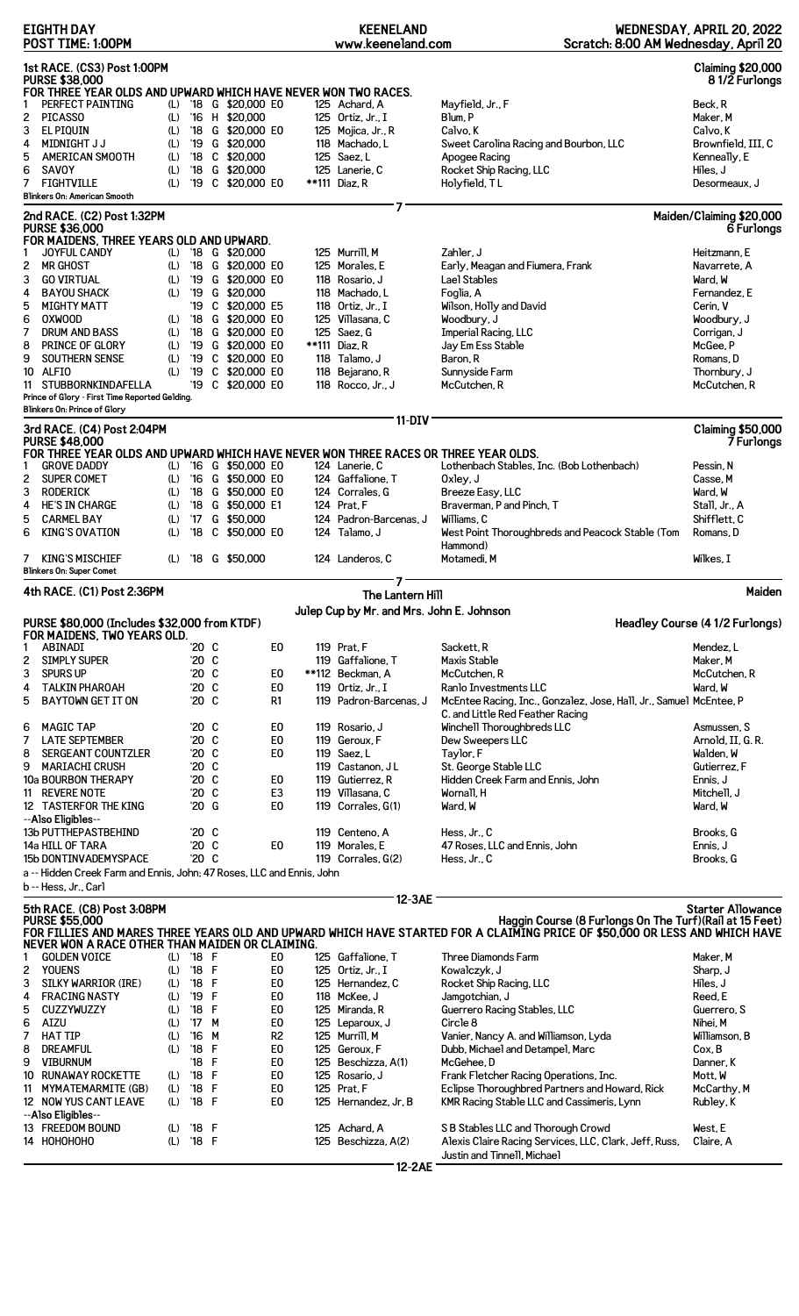|        | <b>EIGHTH DAY</b><br>POST TIME: 1:00PM                                                                                 |            |                      |        |                            |                                  | <b>KEENELAND</b><br>www.keeneland.com     | Scratch: 8:00 AM Wednesday, April 20                                                                                        | WEDNESDAY, APRIL 20, 2022                 |
|--------|------------------------------------------------------------------------------------------------------------------------|------------|----------------------|--------|----------------------------|----------------------------------|-------------------------------------------|-----------------------------------------------------------------------------------------------------------------------------|-------------------------------------------|
|        | 1st RACE. (CS3) Post 1:00PM<br><b>PURSE \$38,000</b><br>FOR THREE YEAR OLDS AND UPWARD WHICH HAVE NEVER WON TWO RACES. |            |                      |        |                            |                                  |                                           |                                                                                                                             | <b>Claiming \$20,000</b><br>81/2 Furlongs |
| 1      | PERFECT PAINTING                                                                                                       | (L)        |                      |        | '18 G \$20,000 EO          |                                  | 125 Achard, A                             | Mayfield, Jr., F                                                                                                            | Beck, R                                   |
| 2      | <b>PICASSO</b>                                                                                                         | (L)        |                      |        | '16 H \$20,000             |                                  | 125 Ortiz, Jr., I                         | Blum, P                                                                                                                     | Maker, M                                  |
| 3      | EL PIQUIN                                                                                                              | (L)        | $^{\prime}18$        |        | G \$20,000 E0              |                                  | 125 Mojica, Jr., R                        | Calvo, K                                                                                                                    | Calvo, K                                  |
| 4      | <b>MIDNIGHT J J</b>                                                                                                    | (L)        | '19                  |        | G \$20,000                 |                                  | 118 Machado, L                            | Sweet Carolina Racing and Bourbon, LLC                                                                                      | Brownfield, III, C                        |
| 5      | <b>AMERICAN SMOOTH</b>                                                                                                 | (L)        | $^{\prime}18$        |        | C \$20,000                 |                                  | 125 Saez, L                               | Apogee Racing                                                                                                               | Kenneally, E                              |
| 6      | <b>SAVOY</b>                                                                                                           | (L)        | $^{\prime}18$        |        | G \$20,000                 |                                  | 125 Lanerie, C                            | Rocket Ship Racing, LLC                                                                                                     | Hiles, J                                  |
| 7      | <b>FIGHTVILLE</b><br>Blinkers On: American Smooth                                                                      | (L)        | '19                  |        | C \$20,000 E0              |                                  | **111 Diaz, R                             | Holyfield, TL                                                                                                               | Desormeaux, J                             |
|        | 2nd RACE. (C2) Post 1:32PM<br><b>PURSE \$36,000</b><br>FOR MAIDENS, THREE YEARS OLD AND UPWARD.                        |            |                      |        |                            |                                  | 7                                         |                                                                                                                             | Maiden/Claiming \$20,000<br>6 Furlongs    |
| 1      | <b>JOYFUL CANDY</b>                                                                                                    | (L)        |                      |        | $18 \quad G \quad $20,000$ |                                  | 125 Murrill, M                            | Zahler, J                                                                                                                   | Heitzmann, E                              |
| 2      | <b>MR GHOST</b>                                                                                                        | (L)        |                      |        | '18 G \$20,000 E0          |                                  | 125 Morales, E                            | Early, Meagan and Fiumera, Frank                                                                                            | Navarrete, A                              |
| 3      | <b>GO VIRTUAL</b>                                                                                                      | (L)        |                      |        | '19 G \$20,000 EO          |                                  | 118 Rosario, J                            | Lael Stables                                                                                                                | Ward, W                                   |
| 4      | <b>BAYOU SHACK</b>                                                                                                     | (L)        | $^{\prime}19$        |        | G \$20,000                 |                                  | 118 Machado, L                            | Foglia, A                                                                                                                   | Fernandez, E                              |
| 5      | <b>MIGHTY MATT</b>                                                                                                     |            | '19                  |        | C \$20,000 E5              |                                  | 118 Ortiz. Jr., I                         | Wilson, Holly and David                                                                                                     | Cerin, V                                  |
| 6      | <b>OXWOOD</b>                                                                                                          | (L)        | $^{\prime}18$        |        | G \$20,000 E0              |                                  | 125 Villasana, C                          | Woodbury, J                                                                                                                 | Woodbury, J                               |
| 7      | <b>DRUM AND BASS</b>                                                                                                   | (L)        | $^{\prime}18$        |        | G \$20,000 E0              |                                  | 125 Saez, G                               | Imperial Racing, LLC                                                                                                        | Corrigan, J                               |
| 8      | PRINCE OF GLORY                                                                                                        | (L)        | '19                  |        | G \$20,000 EO              |                                  | **111 Diaz, R                             | Jay Em Ess Stable                                                                                                           | McGee.P                                   |
| 9      | SOUTHERN SENSE                                                                                                         | (L)        | '19                  |        | C \$20,000 E0              |                                  | 118 Talamo. J                             | Baron. R                                                                                                                    | Romans.D                                  |
|        | 10 ALFIO                                                                                                               | (L)        | '19                  |        | C \$20,000 E0              |                                  | 118 Bejarano, R                           | Sunnyside Farm                                                                                                              | Thornbury, J                              |
|        | 11 STUBBORNKINDAFELLA                                                                                                  |            |                      |        | '19 C \$20,000 E0          |                                  | 118 Rocco, Jr., J                         | McCutchen, R                                                                                                                | McCutchen, R                              |
|        | Prince of Glory - First Time Reported Gelding.<br>Blinkers On: Prince of Glory                                         |            |                      |        |                            |                                  |                                           |                                                                                                                             |                                           |
|        | 3rd RACE. (C4) Post 2:04PM<br><b>PURSE \$48,000</b>                                                                    |            |                      |        |                            |                                  | <b>11-DIV</b>                             |                                                                                                                             | <b>Claiming \$50,000</b><br>7 Furlongs    |
|        | FOR THREE YEAR OLDS AND UPWARD WHICH HAVE NEVER WON THREE RACES OR THREE YEAR OLDS.                                    |            |                      |        |                            |                                  |                                           |                                                                                                                             |                                           |
| 1      | <b>GROVE DADDY</b>                                                                                                     | (L)        |                      |        | '16 G \$50,000 E0          |                                  | 124 Lanerie, C                            | Lothenbach Stables, Inc. (Bob Lothenbach)                                                                                   | Pessin, N                                 |
| 2      | <b>SUPER COMET</b>                                                                                                     | (L)        | '16                  |        | G \$50,000 E0              |                                  | 124 Gaffalione, T                         | Oxley, J                                                                                                                    | Casse, M                                  |
| 3      | RODERICK                                                                                                               | (L)        | $^{\prime}18$        |        | G \$50,000 E0              |                                  | 124 Corrales, G                           | Breeze Easy, LLC                                                                                                            | Ward, W                                   |
| 4      | <b>HE'S IN CHARGE</b>                                                                                                  | (L)        | $^{\prime}18$        |        | G \$50,000 E1              |                                  | 124 Prat, F                               | Braverman, P and Pinch, T                                                                                                   | Stall, Jr., A                             |
| 5      | <b>CARMEL BAY</b>                                                                                                      | (L)        | $^{\prime}17$        |        | G \$50,000                 |                                  | 124 Padron-Barcenas, J                    | Williams, C                                                                                                                 | Shifflett, C                              |
| 6      | <b>KING'S OVATION</b>                                                                                                  | (L)        | $^{\prime}18$        | C      | \$50,000 E0                |                                  | 124 Talamo. J                             | West Point Thoroughbreds and Peacock Stable (Tom                                                                            | Romans, D                                 |
|        |                                                                                                                        |            |                      |        |                            |                                  |                                           | Hammond)                                                                                                                    |                                           |
| 7      | <b>KING'S MISCHIEF</b><br><b>Blinkers On: Super Comet</b>                                                              | (L)        |                      |        | '18 G \$50,000             |                                  | 124 Landeros, C                           | Motamedi, M                                                                                                                 | Wilkes, I                                 |
|        | 4th RACE. (C1) Post 2:36PM                                                                                             |            |                      |        |                            |                                  | The Lantern Hill                          |                                                                                                                             | Maiden                                    |
|        |                                                                                                                        |            |                      |        |                            |                                  | Julep Cup by Mr. and Mrs. John E. Johnson |                                                                                                                             |                                           |
|        | PURSE \$80,000 (Includes \$32,000 from KTDF)                                                                           |            |                      |        |                            |                                  |                                           |                                                                                                                             | Headley Course (4 1/2 Furlongs)           |
|        | FOR MAIDENS, TWO YEARS OLD.                                                                                            |            |                      |        |                            |                                  |                                           |                                                                                                                             |                                           |
| 1      | <b>ABINADI</b>                                                                                                         |            | '20 C<br>'20 C       |        |                            | E <sub>0</sub>                   | 119 Prat, F                               | Sackett, R                                                                                                                  | Mendez, L                                 |
| 2<br>3 | <b>SIMPLY SUPER</b><br><b>SPURS UP</b>                                                                                 |            | '20C                 |        |                            | E <sub>0</sub>                   | 119 Gaffalione, T<br>**112 Beckman, A     | Maxis Stable<br>McCutchen, R                                                                                                | Maker, M<br>McCutchen, R                  |
|        | <b>TALKIN PHAROAH</b>                                                                                                  |            | '20 C                |        |                            | E <sub>0</sub>                   | 119 Ortiz, Jr., I                         | Ranlo Investments LLC                                                                                                       | Ward, W                                   |
| 4      |                                                                                                                        |            |                      |        |                            |                                  |                                           |                                                                                                                             |                                           |
| 5      | <b>BAYTOWN GET IT ON</b>                                                                                               |            | '20 C                |        |                            | R1                               | 119 Padron-Barcenas, J                    | McEntee Racing, Inc., Gonzalez, Jose, Hall, Jr., Samuel McEntee, P                                                          |                                           |
|        |                                                                                                                        |            |                      |        |                            |                                  |                                           | C. and Little Red Feather Racing                                                                                            |                                           |
| 6      | <b>MAGIC TAP</b>                                                                                                       |            | $'20$ C              |        |                            | E <sub>0</sub>                   | 119 Rosario, J                            | Winchell Thoroughbreds LLC                                                                                                  | Asmussen, S                               |
| 7      | <b>LATE SEPTEMBER</b>                                                                                                  |            | $20^{\circ}$         | C      |                            | E <sub>0</sub>                   | 119 Geroux, F                             | Dew Sweepers LLC                                                                                                            | Arnold, II, G. R.                         |
| 8      | SERGEANT COUNTZLER                                                                                                     |            | '20 C<br>$'20$ $C$   |        |                            | E <sub>0</sub>                   | 119 Saez, L                               | Taylor, F                                                                                                                   | Walden, W                                 |
| 9      | <b>MARIACHI CRUSH</b>                                                                                                  |            |                      |        |                            |                                  | 119 Castanon, JL                          | St. George Stable LLC                                                                                                       | Gutierrez, F                              |
|        | 10a BOURBON THERAPY                                                                                                    |            | '20 C                |        |                            | E <sub>0</sub>                   | 119 Gutierrez, R                          | Hidden Creek Farm and Ennis, John                                                                                           | Ennis, J                                  |
|        | 11 REVERE NOTE                                                                                                         |            | '20 C                |        |                            | E <sub>3</sub>                   | 119 Villasana, C                          | Wornall, H                                                                                                                  | Mitchell, J                               |
|        | 12 TASTERFOR THE KING                                                                                                  |            | '20 G                |        |                            | E <sub>0</sub>                   | 119 Corrales, G(1)                        | Ward, W                                                                                                                     | Ward, W                                   |
|        | --Also Eligibles--                                                                                                     |            | $'20$ C              |        |                            |                                  |                                           | Hess, Jr., C                                                                                                                |                                           |
|        | 13b PUTTHEPASTBEHIND                                                                                                   |            | $'20$ C              |        |                            | E <sub>0</sub>                   | 119 Centeno, A                            |                                                                                                                             | Brooks, G                                 |
|        |                                                                                                                        |            |                      |        |                            |                                  |                                           |                                                                                                                             |                                           |
|        | 14a HILL OF TARA                                                                                                       |            |                      |        |                            |                                  | 119 Morales, E                            | 47 Roses, LLC and Ennis, John                                                                                               | Ennis, J                                  |
|        | 15b DONTINVADEMYSPACE                                                                                                  |            | $'20$ $C$            |        |                            |                                  | 119 Corrales, G(2)                        | Hess, Jr., C                                                                                                                | Brooks, G                                 |
|        | a -- Hidden Creek Farm and Ennis, John; 47 Roses, LLC and Ennis, John<br>b -- Hess, Jr., Carl                          |            |                      |        |                            |                                  |                                           |                                                                                                                             |                                           |
|        | 5th RACE. (C8) Post 3:08PM                                                                                             |            |                      |        |                            |                                  | 12-3AE                                    |                                                                                                                             | <b>Starter Allowance</b>                  |
|        | <b>PURSE \$55,000</b>                                                                                                  |            |                      |        |                            |                                  |                                           | Haggin Course (8 Furlongs On The Turf) (Rail at 15 Feet)                                                                    |                                           |
|        |                                                                                                                        |            |                      |        |                            |                                  |                                           | FOR FILLIES AND MARES THREE YEARS OLD AND UPWARD WHICH HAVE STARTED FOR A CLAIMING PRICE OF \$50,000 OR LESS AND WHICH HAVE |                                           |
|        | NEVER WON A RACE OTHER THAN MAIDEN OR CLAIMING.                                                                        |            |                      |        |                            |                                  |                                           |                                                                                                                             |                                           |
| 1      | <b>GOLDEN VOICE</b><br><b>YOUENS</b>                                                                                   | (L)        | '18 F                |        |                            | E0                               | 125 Gaffalione, T                         | Three Diamonds Farm                                                                                                         | Maker, M                                  |
| 2      |                                                                                                                        | (L)        | '18 F                | F      |                            | E <sub>0</sub>                   | 125 Ortiz, Jr., I                         | Kowalczyk, J                                                                                                                | Sharp, J                                  |
| 3      | SILKY WARRIOR (IRE)                                                                                                    | (L)        | $^{\prime}18$        | F      |                            | E <sub>0</sub><br>E <sub>0</sub> | 125 Hernandez, C<br>118 McKee, J          | Rocket Ship Racing, LLC                                                                                                     | Hiles, J<br>Reed, E                       |
| 4<br>5 | <b>FRACING NASTY</b><br><b>CUZZYWUZZY</b>                                                                              | (L)<br>(L) | '19<br>$^{\prime}18$ | F      |                            | E <sub>0</sub>                   | 125 Miranda, R                            | Jamgotchian, J                                                                                                              | Guerrero, S                               |
| 6      | <b>AIZU</b>                                                                                                            | (L)        |                      | M      |                            | E <sub>0</sub>                   |                                           | Guerrero Racing Stables, LLC<br>Circle 8                                                                                    | Nihei, M                                  |
|        |                                                                                                                        |            | 17                   | M      |                            |                                  | 125 Leparoux, J                           |                                                                                                                             |                                           |
| 7      | <b>HAT TIP</b><br><b>DREAMFUL</b>                                                                                      | (L)<br>(L) | $^{\prime}16$        | F      |                            | R <sub>2</sub>                   | 125 Murrill, M<br>125 Geroux, F           | Vanier, Nancy A. and Williamson, Lyda                                                                                       | Williamson, B<br>Cox, B                   |
| 8<br>9 |                                                                                                                        |            | $^{\prime}18$        |        |                            | E <sub>0</sub>                   |                                           | Dubb, Michael and Detampel, Marc                                                                                            | Danner, K                                 |
|        | <b>VIBURNUM</b>                                                                                                        |            | $^{\prime}18$        | F      |                            | E <sub>0</sub>                   | 125 Beschizza, A(1)                       | McGehee, D                                                                                                                  |                                           |
|        | 10 RUNAWAY ROCKETTE                                                                                                    | (L)        | $^{\prime}18$        | F<br>F |                            | E <sub>0</sub>                   | 125 Rosario, J                            | Frank Fletcher Racing Operations, Inc.                                                                                      | Mott, W                                   |
| 11     | <b>MYMATEMARMITE (GB)</b><br>12 NOW YUS CANT LEAVE                                                                     | (L)        | $^{\prime}18$        |        |                            | E <sub>0</sub>                   | 125 Prat, F                               | Eclipse Thoroughbred Partners and Howard, Rick                                                                              | McCarthy, M                               |
|        | --Also Eligibles--                                                                                                     | (L)        | $^{\prime}18$        | F      |                            | E <sub>0</sub>                   | 125 Hernandez, Jr, B                      | KMR Racing Stable LLC and Cassimeris, Lynn                                                                                  | Rubley, K                                 |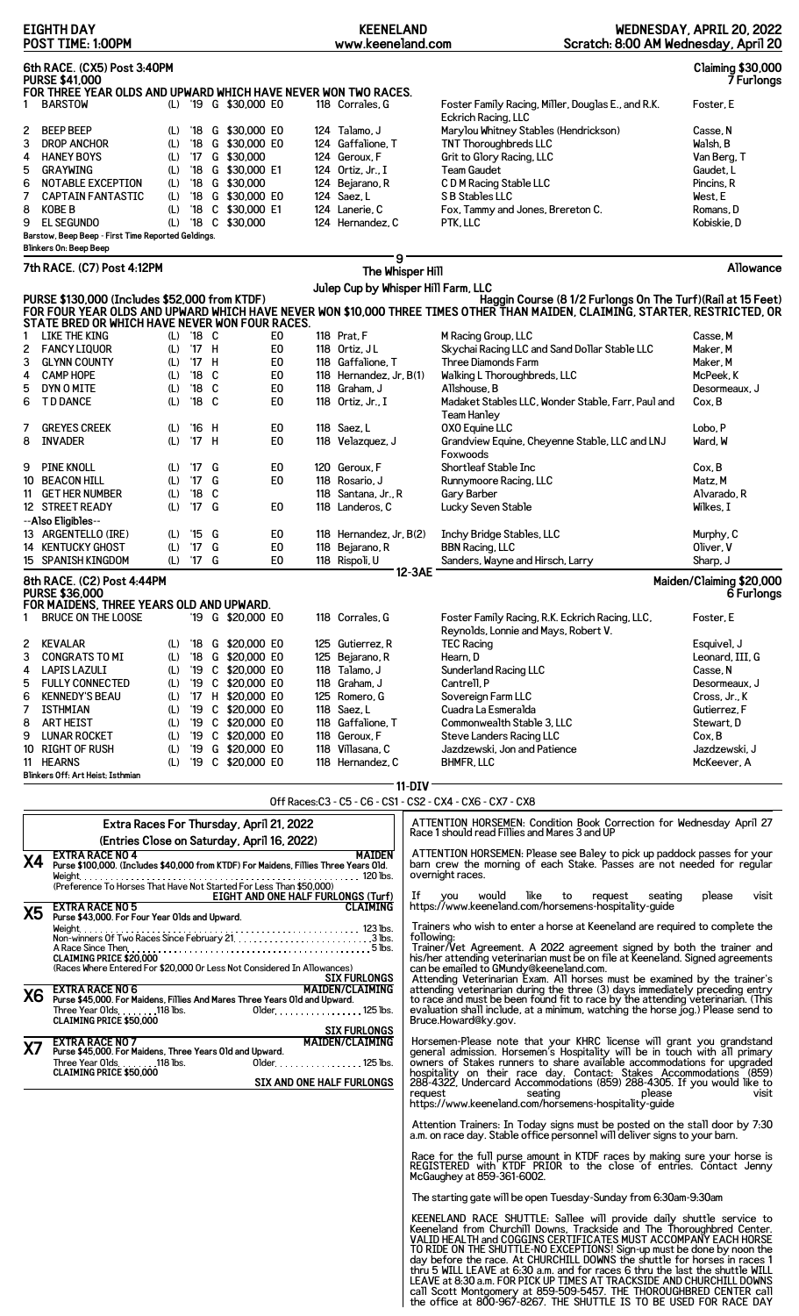|           | POST TIME: 1:00PM                                                                                         |            |                           |   |                                        |                      | www.keeneland.com                              |            | Scratch: 8:00 AM Wednesday, April 20                                                                                                                                                         |                                        |
|-----------|-----------------------------------------------------------------------------------------------------------|------------|---------------------------|---|----------------------------------------|----------------------|------------------------------------------------|------------|----------------------------------------------------------------------------------------------------------------------------------------------------------------------------------------------|----------------------------------------|
|           | 6th RACE. (CX5) Post 3:40PM                                                                               |            |                           |   |                                        |                      |                                                |            |                                                                                                                                                                                              | <b>Claiming \$30,000</b>               |
|           | <b>PURSE \$41,000</b><br>FOR THREE YEAR OLDS AND UPWARD WHICH HAVE NEVER WON TWO RACES.<br><b>BARSTOW</b> | (L)        |                           |   | '19 G \$30,000 E0                      |                      | 118 Corrales, G                                |            |                                                                                                                                                                                              | 7 Furlongs<br>Foster. E                |
|           |                                                                                                           |            |                           |   |                                        |                      |                                                |            | Foster Family Racing, Miller, Douglas E., and R.K.<br>Eckrich Racing, LLC                                                                                                                    |                                        |
| 2         | <b>BEEP BEEP</b>                                                                                          | (L)        | '18                       |   | G \$30,000 E0                          |                      | 124 Talamo, J                                  |            | Marylou Whitney Stables (Hendrickson)                                                                                                                                                        | Casse, N                               |
| 3<br>4    | <b>DROP ANCHOR</b><br><b>HANEY BOYS</b>                                                                   | (L)<br>(L) | '18                       |   | G \$30,000 E0<br>'17 G \$30,000        |                      | 124 Gaffalione, T<br>124 Geroux, F             |            | TNT Thoroughbreds LLC<br>Grit to Glory Racing, LLC                                                                                                                                           | Walsh, B<br>Van Berg, T                |
| 5         | <b>GRAYWING</b>                                                                                           | (L)        |                           |   | '18 G \$30,000 E1                      |                      | 124 Ortiz, Jr., I                              |            | Team Gaudet                                                                                                                                                                                  | Gaudet, L                              |
| 6         | NOTABLE EXCEPTION                                                                                         | (L)        |                           |   | '18 G \$30,000                         |                      | 124 Bejarano, R                                |            | C D M Racing Stable LLC                                                                                                                                                                      | Pincins, R                             |
| 7         | <b>CAPTAIN FANTASTIC</b>                                                                                  | (L)        |                           |   | '18 G \$30,000 E0                      |                      | 124 Saez, L                                    |            | S B Stables LLC                                                                                                                                                                              | West, E                                |
| 8<br>9    | <b>KOBE B</b><br><b>EL SEGUNDO</b>                                                                        | (L)<br>(L) | '18                       |   | C \$30,000 E1<br>'18 C \$30,000        |                      | 124 Lanerie, C<br>124 Hernandez. C             |            | Fox, Tammy and Jones, Brereton C.<br>PTK, LLC                                                                                                                                                | Romans, D<br>Kobiskie, D               |
|           | Barstow, Beep Beep - First Time Reported Geldings.                                                        |            |                           |   |                                        |                      |                                                |            |                                                                                                                                                                                              |                                        |
|           | Blinkers On: Beep Beep                                                                                    |            |                           |   |                                        |                      | 9                                              |            |                                                                                                                                                                                              |                                        |
|           | 7th RACE. (C7) Post 4:12PM                                                                                |            |                           |   |                                        |                      | The Whisper Hill                               |            |                                                                                                                                                                                              | Allowance                              |
|           |                                                                                                           |            |                           |   |                                        |                      | Julep Cup by Whisper Hill Farm, LLC            |            |                                                                                                                                                                                              |                                        |
|           | PURSE \$130,000 (Includes \$52,000 from KTDF)                                                             |            |                           |   |                                        |                      |                                                |            | Haggin Course (8 1/2 Furlongs On The Turf) (Rail at 15 Feet)<br>FOR FOUR YEAR OLDS AND UPWARD WHICH HAVE NEVER WON \$10,000 THREE TIMES OTHER THAN MAIDEN, CLAIMING, STARTER, RESTRICTED, OR |                                        |
|           | STATE BRED OR WHICH HAVE NEVER WON FOUR RACES.                                                            |            |                           |   |                                        |                      |                                                |            |                                                                                                                                                                                              |                                        |
| 2         | LIKE THE KING<br><b>FANCY LIQUOR</b>                                                                      | (L)        | $(L)$ '18 C<br>'17 H      |   |                                        | E0<br>E <sub>0</sub> | 118 Prat, F<br>118 Ortiz, JL                   |            | M Racing Group, LLC<br>Skychai Racing LLC and Sand Dollar Stable LLC                                                                                                                         | Casse, M<br>Maker, M                   |
| 3         | <b>GLYNN COUNTY</b>                                                                                       | (L)        | '17 H                     |   |                                        | E <sub>0</sub>       | 118 Gaffalione, T                              |            | Three Diamonds Farm                                                                                                                                                                          | Maker, M                               |
| 4         | <b>CAMP HOPE</b>                                                                                          | (L)        | $'18$ C                   |   |                                        | E <sub>0</sub>       | 118 Hernandez, $Jr$ , $B(1)$                   |            | Walking L Thoroughbreds, LLC                                                                                                                                                                 | McPeek, K                              |
| 5         | DYN O MITE                                                                                                | (L)        | $'18$ C                   |   |                                        | E <sub>0</sub>       | 118 Graham, J                                  |            | Allshouse, B                                                                                                                                                                                 | Desormeaux, J                          |
| 6         | <b>TD DANCE</b>                                                                                           | (L)        | $'18$ C                   |   |                                        | E0                   | 118 Ortiz, Jr., I                              |            | Madaket Stables LLC, Wonder Stable, Farr, Paul and<br><b>Team Hanley</b>                                                                                                                     | Cox, B                                 |
| 7         | <b>GREYES CREEK</b>                                                                                       | (L)        | '16 H                     |   |                                        | E0                   | 118 Saez, L                                    |            | <b>OXO Equine LLC</b>                                                                                                                                                                        | Lobo, P                                |
| 8         | <b>INVADER</b>                                                                                            | (L)        | '17 H                     |   |                                        | E <sub>0</sub>       | 118 Velazquez, J                               |            | Grandview Equine, Cheyenne Stable, LLC and LNJ                                                                                                                                               | Ward, W                                |
|           |                                                                                                           |            |                           |   |                                        |                      |                                                |            | Foxwoods                                                                                                                                                                                     |                                        |
| 9         | PINE KNOLL<br>10 BEACON HILL                                                                              | (L)<br>(L) | '17 G<br>$'17$ G          |   |                                        | E0<br>E <sub>0</sub> | 120 Geroux, F<br>118 Rosario, J                |            | Shortleaf Stable Inc<br>Runnymoore Racing, LLC                                                                                                                                               | Cox, B<br>Matz, M                      |
|           | 11 GET HER NUMBER                                                                                         | (L)        | $'18$ C                   |   |                                        |                      | 118 Santana, Jr., R                            |            | Gary Barber                                                                                                                                                                                  | Alvarado, R                            |
|           | 12 STREET READY                                                                                           | (L)        | '17 G                     |   |                                        | E <sub>0</sub>       | 118 Landeros, C                                |            | Lucky Seven Stable                                                                                                                                                                           | Wilkes, I                              |
|           | --Also Eligibles--                                                                                        |            |                           |   |                                        |                      |                                                |            |                                                                                                                                                                                              |                                        |
|           | 13 ARGENTELLO (IRE)<br>14 KENTUCKY GHOST                                                                  | (L)<br>(L) | $'15$ G<br>$^{\prime}$ 17 | G |                                        | E0<br>E <sub>0</sub> | 118 Hernandez, Jr, B(2)<br>118 Bejarano, R     |            | Inchy Bridge Stables, LLC<br><b>BBN Racing, LLC</b>                                                                                                                                          | Murphy, C<br>Oliver, V                 |
|           | 15 SPANISH KINGDOM                                                                                        | (L)        | $'17$ G                   |   |                                        | E0                   | 118 Rispoli, U                                 |            | Sanders, Wayne and Hirsch, Larry                                                                                                                                                             | Sharp, J                               |
|           | 8th RACE. (C2) Post 4:44PM<br><b>PURSE \$36,000</b>                                                       |            |                           |   |                                        |                      |                                                | 12-3AE     |                                                                                                                                                                                              | Maiden/Claiming \$20,000<br>6 Furlongs |
|           | FOR MAIDENS, THREE YEARS OLD AND UPWARD.<br><b>BRUCE ON THE LOOSE</b>                                     |            |                           |   | '19 G \$20,000 E0                      |                      | 118 Corrales, G                                |            | Foster Family Racing, R.K. Eckrich Racing, LLC.                                                                                                                                              | Foster. E                              |
|           |                                                                                                           |            |                           |   |                                        |                      |                                                |            | Reynolds, Lonnie and Mays, Robert V.                                                                                                                                                         |                                        |
| 2         | KEVALAR                                                                                                   | (L)        |                           |   | '18 G \$20,000 E0                      |                      | 125 Gutierrez, R                               |            | <b>TEC Racing</b>                                                                                                                                                                            | Esquivel, J                            |
| 3         | <b>CONGRATS TO MI</b>                                                                                     | (L)        |                           |   | '18 G \$20,000 E0<br>'19 C \$20,000 E0 |                      | 125 Bejarano, R<br>118 Talamo, J               |            | Hearn, D                                                                                                                                                                                     | Leonard, III, G                        |
| 4<br>5    | <b>LAPIS LAZULI</b><br><b>FULLY CONNECTED</b>                                                             | (L)<br>(L) |                           |   | '19 C \$20,000 E0                      |                      | 118 Graham, J                                  |            | Sunderland Racing LLC<br>Cantrell, P                                                                                                                                                         | Casse, N<br>Desormeaux, J              |
| 6         | <b>KENNEDY'S BEAU</b>                                                                                     | (L)        |                           |   | '17 H \$20,000 E0                      |                      | 125 Romero, G                                  |            | Sovereign Farm LLC                                                                                                                                                                           | Cross, Jr., K                          |
| 7         | <b>ISTHMIAN</b>                                                                                           | (L)        |                           |   | '19 C \$20,000 E0                      |                      | 118 Saez, L                                    |            | Cuadra La Esmeralda                                                                                                                                                                          | Gutierrez, F                           |
| 8<br>9    | <b>ART HEIST</b><br><b>LUNAR ROCKET</b>                                                                   | (L)        |                           |   | '19 C \$20,000 E0<br>'19 C \$20,000 E0 |                      | 118 Gaffalione, T<br>118 Geroux, F             |            | Commonwealth Stable 3, LLC                                                                                                                                                                   | Stewart, D<br>Cox, B                   |
|           | 10 RIGHT OF RUSH                                                                                          | (L)<br>(L) |                           |   | '19 G \$20,000 E0                      |                      | 118 Villasana, C                               |            | Steve Landers Racing LLC<br>Jazdzewski, Jon and Patience                                                                                                                                     | Jazdzewski, J                          |
|           | 11 HEARNS                                                                                                 | (L)        |                           |   | '19 C \$20,000 E0                      |                      | 118 Hernandez, C                               |            | <b>BHMFR, LLC</b>                                                                                                                                                                            | McKeever, A                            |
|           | Blinkers Off: Art Heist: Isthmian                                                                         |            |                           |   |                                        |                      |                                                | $11-DIV$   |                                                                                                                                                                                              |                                        |
|           |                                                                                                           |            |                           |   |                                        |                      |                                                |            | Off Races: C3 - C5 - C6 - CS1 - CS2 - CX4 - CX6 - CX7 - CX8                                                                                                                                  |                                        |
|           |                                                                                                           |            |                           |   |                                        |                      |                                                |            | ATTENTION HORSEMEN: Condition Book Correction for Wednesday April 27                                                                                                                         |                                        |
|           | Extra Races For Thursday, April 21, 2022                                                                  |            |                           |   |                                        |                      |                                                |            | Race 1 should read Fillies and Mares 3 and UP                                                                                                                                                |                                        |
|           | (Entries Close on Saturday, April 16, 2022)<br><b>EXTRA RACE NO 4</b>                                     |            |                           |   |                                        |                      | <b>MAIDEN</b>                                  |            | ATTENTION HORSEMEN. Please see Baley to pick up paddock passes for your                                                                                                                      |                                        |
| Χ4        | Purse \$100,000. (Includes \$40,000 from KTDF) For Maidens, Fillies Three Years Old.                      |            |                           |   |                                        |                      |                                                |            | barn crew the morning of each Stake. Passes are not needed for regular<br>overnight races.                                                                                                   |                                        |
|           |                                                                                                           |            |                           |   |                                        |                      |                                                |            |                                                                                                                                                                                              |                                        |
|           |                                                                                                           |            |                           |   |                                        |                      | EIGHT AND ONE HALF FURLONGS (Turf)<br>CLAIMING |            | If you would like<br>to<br>request<br>seating<br>https://www.keeneland.com/horsemens-hospitality-guide                                                                                       | visit<br>please                        |
| X5        | <b>EXTRA RACE NO 5</b><br>Purse \$43,000. For Four Year Olds and Upward.                                  |            |                           |   |                                        |                      |                                                |            |                                                                                                                                                                                              |                                        |
|           |                                                                                                           |            |                           |   |                                        |                      |                                                | following: | Trainers who wish to enter a horse at Keeneland are required to complete the                                                                                                                 |                                        |
|           |                                                                                                           |            |                           |   |                                        |                      |                                                |            | Trainer/Vet Agreement. A 2022 agreement signed by both the trainer and                                                                                                                       |                                        |
|           | <b>CLAIMING PRICE \$20,000</b><br>(Races Where Entered For \$20,000 Or Less Not Considered In Allowances) |            |                           |   |                                        |                      |                                                |            | his/her attending veterinarian must be on file at Keeneland. Signed agreements<br>can be emailed to GMundy@keeneland.com.                                                                    |                                        |
|           | EXTRA RACE NO 6                                                                                           |            |                           |   |                                        |                      | <b>SIX FURLONGS</b><br><b>MAIDEN/CLAIMING</b>  |            | Attending Veterinarian Exam. All horses must be examined by the trainer's<br>attending veterinarian during the three (3) days immediately preceding entry                                    |                                        |
| X6        | Purse \$45,000. For Maidens, Fillies And Mares Three Years Old and Upward.                                |            |                           |   |                                        |                      |                                                |            | to race and must be been found fit to race by the attending veterinarian. (This                                                                                                              |                                        |
|           | Three Year Olds. 118 lbs.<br><b>CLAIMING PRICE \$50,000</b>                                               |            |                           |   |                                        |                      | Older. 125 lbs.                                |            | evaluation shall include, at a minimum, watching the horse jog.) Please send to<br>Bruce.Howard@ky.gov.                                                                                      |                                        |
|           | <b>EXTRA RACE NO 7</b>                                                                                    |            |                           |   |                                        |                      | <b>SIX FURLONGS</b><br><b>MAIDEN/CLAIMING</b>  |            |                                                                                                                                                                                              |                                        |
| <b>X7</b> | Purse \$45,000. For Maidens, Three Years Old and Upward.                                                  |            |                           |   |                                        |                      |                                                |            | Horsemen-Please note that your KHRC license will grant you grandstand<br>general admission. Horsemen's Hospitality will be in touch with all primary                                         |                                        |
|           | Three Year Olds. 118 lbs.<br><b>CLAIMING PRICE \$50,000</b>                                               |            |                           |   |                                        |                      | 01 der. 125 lbs.                               |            | owners of Stakes runners to share available accommodations for upgraded                                                                                                                      |                                        |
|           |                                                                                                           |            |                           |   |                                        |                      | SIX AND ONE HALF FURLONGS                      |            | hospitality on their race day. Contact: Stakes Accommodations (859)<br>288-4322, Undercard Accommodations (859) 288-4305. If you would like to                                               |                                        |
|           |                                                                                                           |            |                           |   |                                        |                      |                                                | request    | seating the control of the seating<br>please<br>https://www.keeneland.com/horsemens-hospitality-quide                                                                                        | visit                                  |
|           |                                                                                                           |            |                           |   |                                        |                      |                                                |            | Attention Trainers: In Today signs must be posted on the stall door by 7:30<br>a.m. on race day. Stable office personnel will deliver signs to your barn.                                    |                                        |
|           |                                                                                                           |            |                           |   |                                        |                      |                                                |            | Race for the full purse amount in KTDF races by making sure your horse is REGISTERED with KTDF PRIOR to the close of entries. Contact Jenny                                                  |                                        |
|           |                                                                                                           |            |                           |   |                                        |                      |                                                |            | McGaughey at 859-361-6002.<br>The starting gate will be open Tuesday-Sunday from 6:30am-9:30am                                                                                               |                                        |
|           |                                                                                                           |            |                           |   |                                        |                      |                                                |            |                                                                                                                                                                                              |                                        |
|           |                                                                                                           |            |                           |   |                                        |                      |                                                |            | KEENELAND RACE SHUTTLE: Sallee will provide daily shuttle service to<br>Keeneland from Churchill Downs, Trackside and The Thoroughbred Center.                                               |                                        |
|           |                                                                                                           |            |                           |   |                                        |                      |                                                |            | VALID HEALTH and COGGINS CERTIFICATES MUST ACCOMPANY EACH HORSE                                                                                                                              |                                        |
|           |                                                                                                           |            |                           |   |                                        |                      |                                                |            | TO RIDE ON THE SHUTTLE-NO EXCEPTIONS! Sign-up must be done by noon the<br>day before the race. At CHURCHILL DOWNS the shuttle for horses in races 1                                          |                                        |
|           |                                                                                                           |            |                           |   |                                        |                      |                                                |            | thru 5 WILL LEAVE at 6:30 a.m. and for races 6 thru the last the shuttle WILL<br>LEAVE at 8:30 a.m. FOR PICK UP TIMES AT TRACKSIDE AND CHURCHILL DOWNS                                       |                                        |
|           |                                                                                                           |            |                           |   |                                        |                      |                                                |            | Call Scott Montgomery at 859-509-5457. THE THOROUGHBRED CENTER call<br>the office at 800-967-8267. THE SHUTTLE IS TO BE USED FOR RACE DAY                                                    |                                        |
|           |                                                                                                           |            |                           |   |                                        |                      |                                                |            |                                                                                                                                                                                              |                                        |

**KEENELAND**

**WEDNESDAY, APRIL 20, 2022**

**EIGHTH DAY**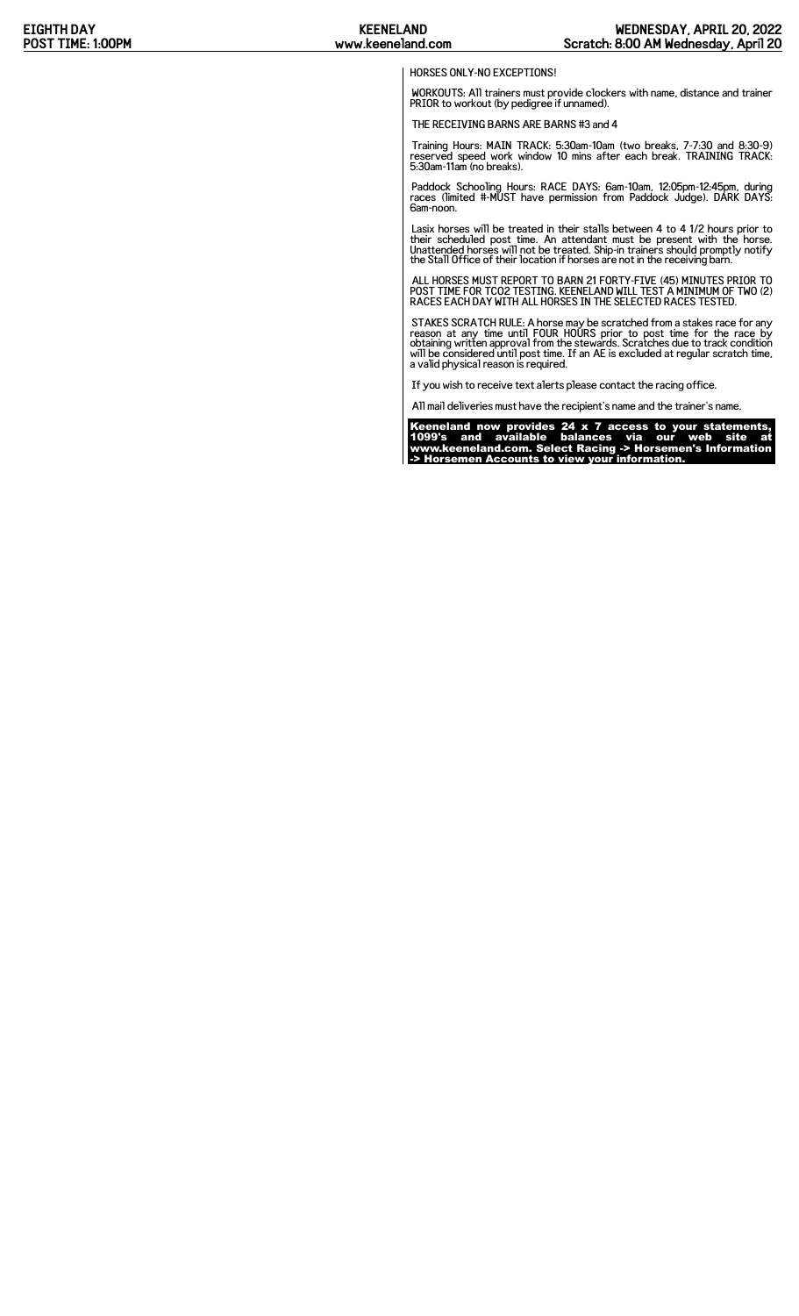## HORSES ONLY-NO EXCEPTIONS!

WORKOUTS: All trainers must provide clockers with name, distance and trainer PRIOR to workout (by pedigree if unnamed).

THE RECEIVING BARNS ARE BARNS #3 and 4

Training Hours: MAIN TRACK: 5:30am-10am (two breaks, 7-7:30 and 8:30-9) reserved speed work window 10 mins after each break. TRAINING TRACK: 5:30am-11am (no breaks).

Paddock Schooling Hours: RACE DAYS: 6am-10am, 12:05pm-12:45pm, during races (limited #-MUST have permission from Paddock Judge). DARK DAYS: 6am-noon.

Lasix horses will be treated in their stalls between 4 to 4 1/2 hours prior to<br>their scheduled post time. An attendant must be present with the horse.<br>Unattended horses will not be treated. Ship-in trainers should promptly

ALL HORSES MUST REPORT TO BARN 21 FORTY-FIVE (45) MINUTES PRIOR TO POST TIME FOR TCO2 TESTING. KEENELAND WILL TEST A MINIMUM OF TWO (2) RACES EACH DAY WITH ALL HORSES IN THE SELECTED RACES TESTED.

STAKES SCRATCH RULE: A horse may be scratched from a stakes race for any<br>reason at any time until FOUR HOURS prior to post time for the race by<br>obtaining written approval from the stewards. Scratches due to track condition

If you wish to receive text alerts please contact the racing office.

All mail deliveries must have the recipient's name and the trainer's name.

Keeneland now provides 24 x 7 access to your statements, 1099's and available balances via our web site at www.keeneland.com. Select Racing -> Horsemen's Information -> Horsemen Accounts to view your information.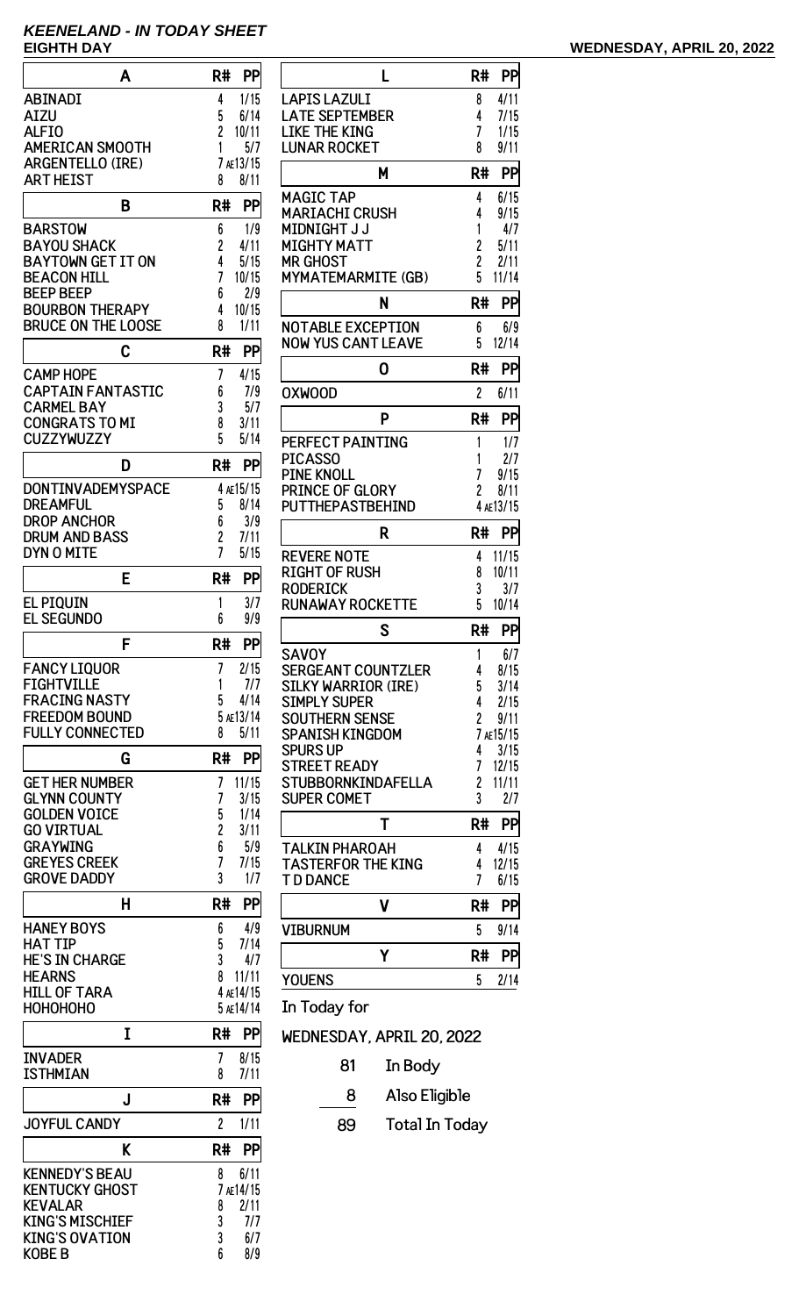# **KEENELAND - IN TODAY SHEET**

| A                                              | R#<br>PP               |
|------------------------------------------------|------------------------|
| <b>ABINADI</b>                                 | 1/15<br>4              |
| AIZU                                           | 5<br>6/14              |
| <b>ALFIO</b>                                   | 2<br>10/11             |
| <b>AMERICAN SMOOTH</b>                         | 1<br>5/7               |
| <b>ARGENTELLO (IRE)</b><br><b>ART HEIST</b>    | 7 AE13/15<br>8<br>8/11 |
|                                                |                        |
| B                                              | R#<br>PP               |
| <b>BARSTOW</b><br><b>BAYOU SHACK</b>           | 6<br>1/9<br>2<br>4/11  |
| <b>BAYTOWN GET IT ON</b>                       | 4<br>5/15              |
| <b>BEACON HILL</b>                             | 7<br>10/15             |
| <b>BEEP BEEP</b>                               | 2/9<br>6               |
| <b>BOURBON THERAPY</b>                         | 10/15<br>4             |
| <b>BRUCE ON THE LOOSE</b>                      | 8<br>1/11              |
| C                                              | R#<br>PP               |
| <b>CAMP HOPE</b>                               | 7<br>4/15              |
| <b>CAPTAIN FANTASTIC</b>                       | 6<br>7/9               |
| <b>CARMEL BAY</b><br><b>CONGRATS TO MI</b>     | 3<br>5/7<br>3/11<br>8  |
| <b>CUZZYWUZZY</b>                              | 5<br>5/14              |
| D                                              | R#<br>PP               |
| DONTINVADEMYSPACE                              | 4 AE15/15              |
| DREAMFUL                                       | 5<br>8/14              |
| DROP ANCHOR                                    | 6<br>3/9               |
| DRUM AND BASS                                  | 2<br>7/11              |
| DYN O MITE                                     | 7<br>5/15              |
| E                                              | PP<br>R#               |
| <b>EL PIQUIN</b><br><b>EL SEGUNDO</b>          | 1<br>3/7<br>6<br>9/9   |
|                                                |                        |
| F                                              | R#<br>PP               |
| <b>FANCY LIQUOR</b>                            | 2/15<br>7              |
| <b>FIGHTVILLE</b><br><b>FRACING NASTY</b>      | 1<br>7/7<br>5<br>4/14  |
| <b>FREEDOM BOUND</b>                           | 5 AE13/14              |
| <b>FULLY CONNECTED</b>                         | 5/11<br>8              |
| G                                              | R#<br>PP               |
| <b>GET HER NUMBER</b>                          | 7<br>11/15             |
| <b>GLYNN COUNTY</b>                            | 7<br>3/15              |
| <b>GOLDEN VOICE</b>                            | 5<br>1/14              |
| <b>GO VIRTUAL</b>                              | 2<br>3/11              |
| <b>GRAYWING</b><br><b>GREYES CREEK</b>         | 6<br>5/9<br>7<br>7/15  |
| <b>GROVE DADDY</b>                             | 3<br>1/7               |
| н                                              | R#<br>PP               |
| <b>HANEY BOYS</b>                              | 4/9<br>6               |
| <b>HAT TIP</b>                                 | 5<br>7/14              |
| <b>HE'S IN CHARGE</b>                          | 3<br>4/7               |
| <b>HEARNS</b>                                  | 8<br>11/11             |
| <b>HILL OF TARA</b>                            | 4 AE14/15              |
| НОНОНОНО                                       | 5 AE14/14              |
| I                                              | R#<br>PP               |
| <b>INVADER</b><br><b>ISTHMIAN</b>              | 7<br>8/15<br>7/11<br>8 |
| J                                              | R#<br>PP               |
| <b>JOYFUL CANDY</b>                            | $\overline{c}$<br>1/11 |
|                                                |                        |
| K                                              | R#<br>PP               |
| <b>KENNEDY'S BEAU</b><br><b>KENTUCKY GHOST</b> | 6/11<br>8<br>7 AE14/15 |
| <b>KEVALAR</b>                                 | 2/11<br>8              |
| <b>KING'S MISCHIEF</b>                         | 3<br>7/7               |
| <b>KING'S OVATION</b>                          | 3<br>6/7<br>6          |
| <b>KOBE B</b>                                  | 8/9                    |

KOBE B

| L                                        | R#                  | PP              |
|------------------------------------------|---------------------|-----------------|
| LAPIS LAZULI                             | 8                   | 4/11            |
| <b>LATE SEPTEMBER</b>                    | 4                   | 7/15            |
| LIKE THE KING                            | 7                   | 1/15            |
| <b>LUNAR ROCKET</b>                      | 8                   | 9/11            |
| Μ                                        | R#                  | PP              |
| <b>MAGIC TAP</b>                         | 4                   | 6/15            |
| <b>MARIACHI CRUSH</b>                    | 4                   | 9/15            |
| <b>MIDNIGHT J J</b>                      | 1                   | 4/7             |
| MIGHTY MATT<br>MR GHOST                  | 2<br>2              | 5/11<br>2/11    |
| MYMATEMARMITE (GB)                       | 5                   | 11/14           |
| N                                        | R#                  | PP              |
| <b>NOTABLE EXCEPTION</b>                 | 6                   | 6/9             |
| <b>NOW YUS CANT LEAVE</b>                | 5                   | 12/14           |
| 0                                        | R#                  | PP              |
| <b>OXWOOD</b>                            | $\overline{c}$      | 6/11            |
| P                                        | R#                  | PP              |
| PERFECT PAINTING                         | 1                   | 1/7             |
| PICASSO                                  | 1                   | 2/7             |
| <b>PINE KNOLL</b>                        | 7                   | 9/15            |
| PRINCE OF GLORY                          | 2                   | 8/11            |
| <b>PUTTHEPASTBEHIND</b>                  |                     | 4 AE13/15       |
| R                                        | R#                  | PP              |
| REVERE NOTE                              | 4                   | 11/15           |
| <b>RIGHT OF RUSH</b>                     | 8                   | 10/11           |
| <b>RODERICK</b>                          | 3                   | 3/7             |
| <b>RUNAWAY ROCKETTE</b>                  | 5                   | 10/14           |
| S                                        | R#                  | <b>PP</b>       |
| <b>SAVOY</b>                             | 1                   | 6/7             |
| <b>SERGEANT COUNTZLER</b>                | 4                   | 8/15            |
| <b>SILKY WARRIOR (IRE)</b>               | 5                   | 3/14            |
| <b>SIMPLY SUPER</b>                      | 4                   | 2/15            |
| SOUTHERN SENSE<br><b>SPANISH KINGDOM</b> | $\overline{c}$<br>7 | 9/11<br>AE15/15 |
| <b>SPURS UP</b>                          | 4                   | 3/15            |
| <b>STREET READY</b>                      | 7                   | 12/15           |
| STUBBORNKINDAFELLA                       | 2                   | 11/11           |
| <b>SUPER COMET</b>                       | 3                   | 2/7             |
| Τ                                        | R#                  | PP              |
|                                          |                     |                 |
| <b>TALKIN PHAROAH</b>                    | 4                   | 4/15            |
| <b>TASTERFOR THE KING</b>                | 4                   | 12/15           |
| <b>T D DANCE</b>                         | 7                   | 6/15            |
| ۷                                        | R#                  | PP              |
| <b>VIBURNUM</b>                          | 5                   | 9/14            |
| Υ<br>YOUENS                              | R#<br>5             | PP<br>2/14      |

In Today for

WEDNESDAY, APRIL 20, 2022

- 81 In Body
- 8 Also Eligible
- 89 Total In Today